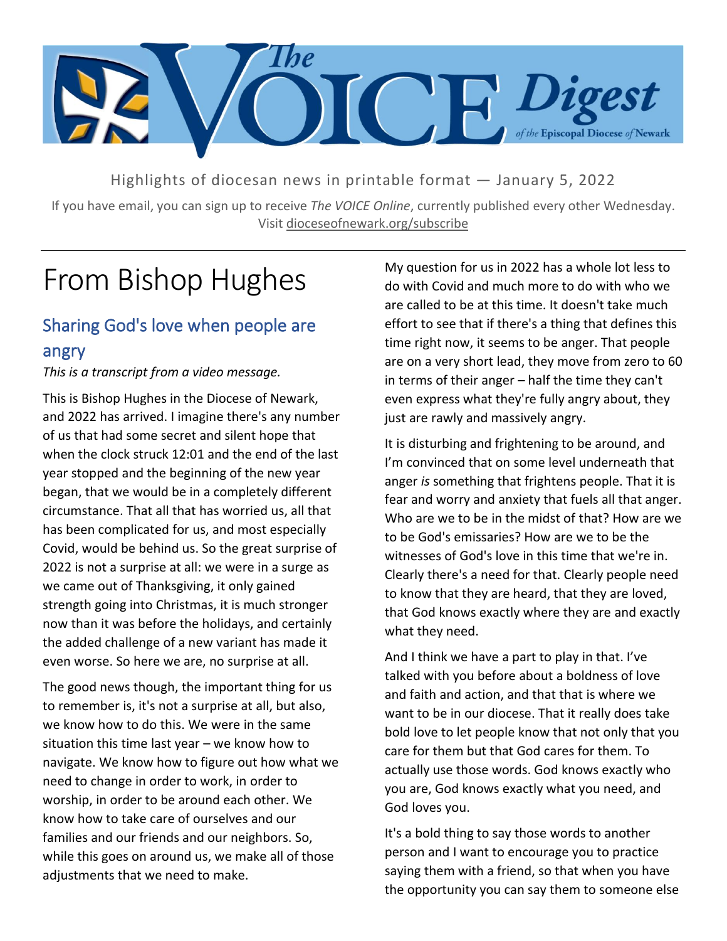

Highlights of diocesan news in printable format — January 5, 2022

If you have email, you can sign up to receive *The VOICE Online*, currently published every other Wednesday. Visit dioceseofnewark.org/subscribe

## From Bishop Hughes

### Sharing God's love when people are angry

*This is a transcript from a video message.*

This is Bishop Hughes in the Diocese of Newark, and 2022 has arrived. I imagine there's any number of us that had some secret and silent hope that when the clock struck 12:01 and the end of the last year stopped and the beginning of the new year began, that we would be in a completely different circumstance. That all that has worried us, all that has been complicated for us, and most especially Covid, would be behind us. So the great surprise of 2022 is not a surprise at all: we were in a surge as we came out of Thanksgiving, it only gained strength going into Christmas, it is much stronger now than it was before the holidays, and certainly the added challenge of a new variant has made it even worse. So here we are, no surprise at all.

The good news though, the important thing for us to remember is, it's not a surprise at all, but also, we know how to do this. We were in the same situation this time last year – we know how to navigate. We know how to figure out how what we need to change in order to work, in order to worship, in order to be around each other. We know how to take care of ourselves and our families and our friends and our neighbors. So, while this goes on around us, we make all of those adjustments that we need to make.

My question for us in 2022 has a whole lot less to do with Covid and much more to do with who we are called to be at this time. It doesn't take much effort to see that if there's a thing that defines this time right now, it seems to be anger. That people are on a very short lead, they move from zero to 60 in terms of their anger – half the time they can't even express what they're fully angry about, they just are rawly and massively angry.

It is disturbing and frightening to be around, and I'm convinced that on some level underneath that anger *is* something that frightens people. That it is fear and worry and anxiety that fuels all that anger. Who are we to be in the midst of that? How are we to be God's emissaries? How are we to be the witnesses of God's love in this time that we're in. Clearly there's a need for that. Clearly people need to know that they are heard, that they are loved, that God knows exactly where they are and exactly what they need.

And I think we have a part to play in that. I've talked with you before about a boldness of love and faith and action, and that that is where we want to be in our diocese. That it really does take bold love to let people know that not only that you care for them but that God cares for them. To actually use those words. God knows exactly who you are, God knows exactly what you need, and God loves you.

It's a bold thing to say those words to another person and I want to encourage you to practice saying them with a friend, so that when you have the opportunity you can say them to someone else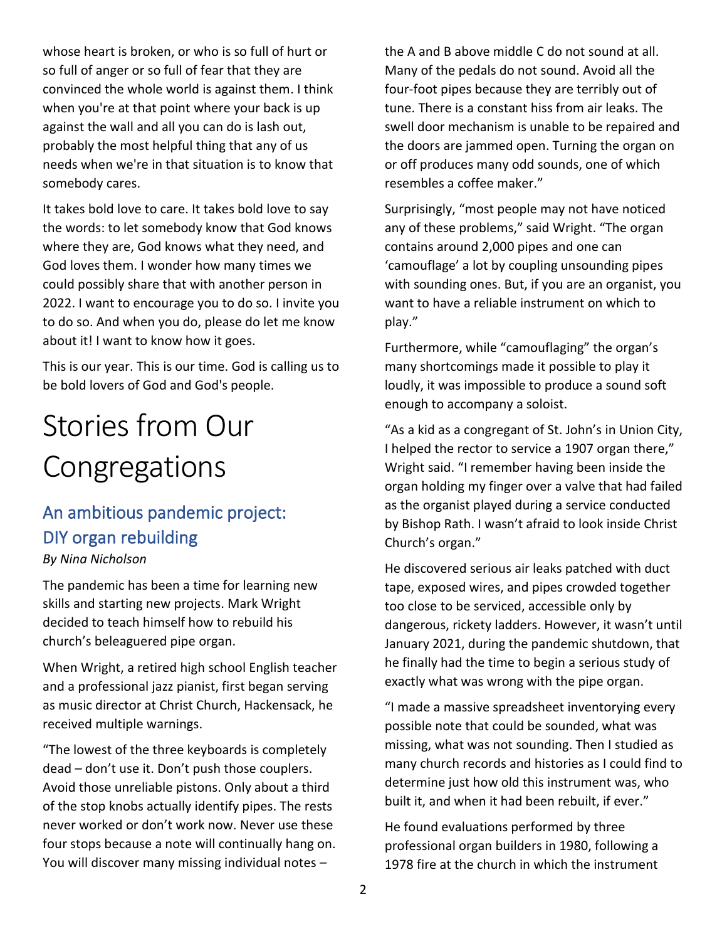whose heart is broken, or who is so full of hurt or so full of anger or so full of fear that they are convinced the whole world is against them. I think when you're at that point where your back is up against the wall and all you can do is lash out, probably the most helpful thing that any of us needs when we're in that situation is to know that somebody cares.

It takes bold love to care. It takes bold love to say the words: to let somebody know that God knows where they are, God knows what they need, and God loves them. I wonder how many times we could possibly share that with another person in 2022. I want to encourage you to do so. I invite you to do so. And when you do, please do let me know about it! I want to know how it goes.

This is our year. This is our time. God is calling us to be bold lovers of God and God's people.

# Stories from Our Congregations

### An ambitious pandemic project: DIY organ rebuilding *By Nina Nicholson*

The pandemic has been a time for learning new skills and starting new projects. Mark Wright decided to teach himself how to rebuild his church's beleaguered pipe organ.

When Wright, a retired high school English teacher and a professional jazz pianist, first began serving as music director at Christ Church, Hackensack, he received multiple warnings.

"The lowest of the three keyboards is completely dead – don't use it. Don't push those couplers. Avoid those unreliable pistons. Only about a third of the stop knobs actually identify pipes. The rests never worked or don't work now. Never use these four stops because a note will continually hang on. You will discover many missing individual notes –

the A and B above middle C do not sound at all. Many of the pedals do not sound. Avoid all the four-foot pipes because they are terribly out of tune. There is a constant hiss from air leaks. The swell door mechanism is unable to be repaired and the doors are jammed open. Turning the organ on or off produces many odd sounds, one of which resembles a coffee maker."

Surprisingly, "most people may not have noticed any of these problems," said Wright. "The organ contains around 2,000 pipes and one can 'camouflage' a lot by coupling unsounding pipes with sounding ones. But, if you are an organist, you want to have a reliable instrument on which to play."

Furthermore, while "camouflaging" the organ's many shortcomings made it possible to play it loudly, it was impossible to produce a sound soft enough to accompany a soloist.

"As a kid as a congregant of St. John's in Union City, I helped the rector to service a 1907 organ there," Wright said. "I remember having been inside the organ holding my finger over a valve that had failed as the organist played during a service conducted by Bishop Rath. I wasn't afraid to look inside Christ Church's organ."

He discovered serious air leaks patched with duct tape, exposed wires, and pipes crowded together too close to be serviced, accessible only by dangerous, rickety ladders. However, it wasn't until January 2021, during the pandemic shutdown, that he finally had the time to begin a serious study of exactly what was wrong with the pipe organ.

"I made a massive spreadsheet inventorying every possible note that could be sounded, what was missing, what was not sounding. Then I studied as many church records and histories as I could find to determine just how old this instrument was, who built it, and when it had been rebuilt, if ever."

He found evaluations performed by three professional organ builders in 1980, following a 1978 fire at the church in which the instrument